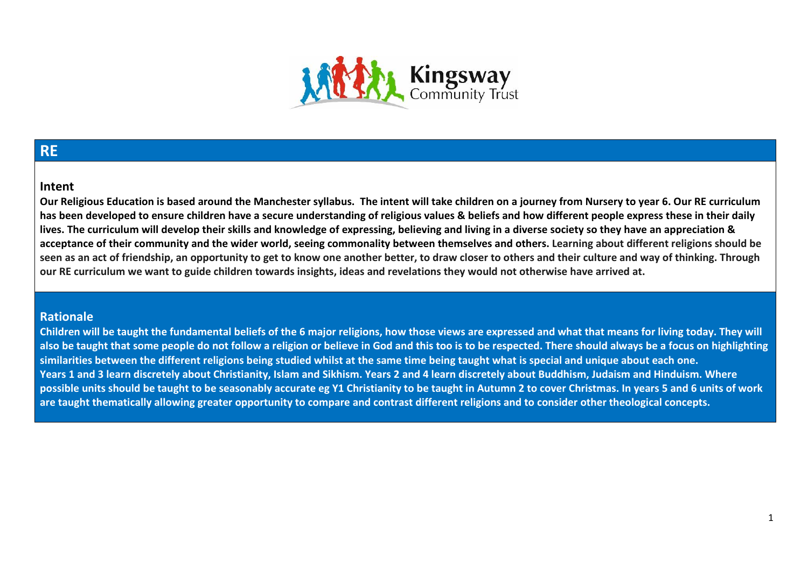

### **RE**

#### **Intent**

**Our Religious Education is based around the Manchester syllabus. The intent will take children on a journey from Nursery to year 6. Our RE curriculum has been developed to ensure children have a secure understanding of religious values & beliefs and how different people express these in their daily lives. The curriculum will develop their skills and knowledge of expressing, believing and living in a diverse society so they have an appreciation & acceptance of their community and the wider world, seeing commonality between themselves and others. Learning about different religions should be seen as an act of friendship, an opportunity to get to know one another better, to draw closer to others and their culture and way of thinking. Through our RE curriculum we want to guide children towards insights, ideas and revelations they would not otherwise have arrived at.** 

### **Rationale**

**Children will be taught the fundamental beliefs of the 6 major religions, how those views are expressed and what that means for living today. They will also be taught that some people do not follow a religion or believe in God and this too is to be respected. There should always be a focus on highlighting similarities between the different religions being studied whilst at the same time being taught what is special and unique about each one. Years 1 and 3 learn discretely about Christianity, Islam and Sikhism. Years 2 and 4 learn discretely about Buddhism, Judaism and Hinduism. Where possible units should be taught to be seasonably accurate eg Y1 Christianity to be taught in Autumn 2 to cover Christmas. In years 5 and 6 units of work are taught thematically allowing greater opportunity to compare and contrast different religions and to consider other theological concepts.**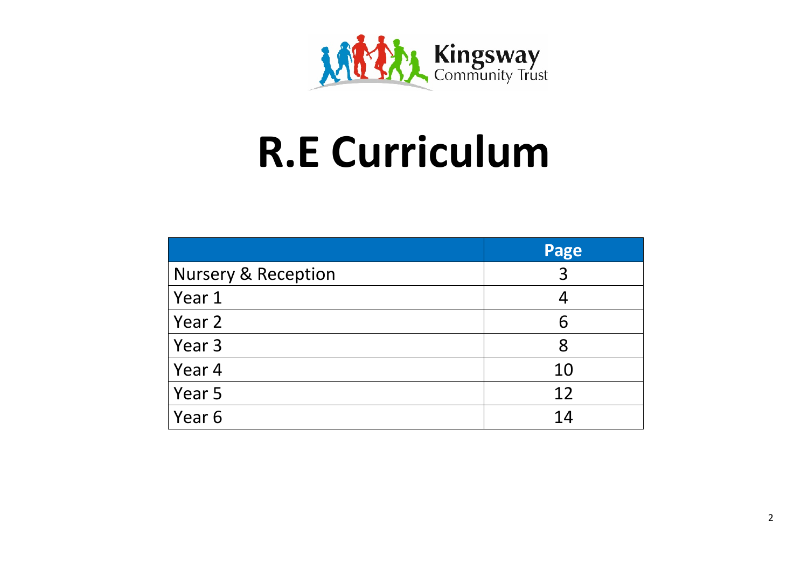

### **R.E Curriculum**

|                                | Page |
|--------------------------------|------|
| <b>Nursery &amp; Reception</b> | 3    |
| Year 1                         |      |
| Year 2                         | 6    |
| Year 3                         | 8    |
| Year 4                         | 10   |
| Year 5                         | 12   |
| Year 6                         | 14   |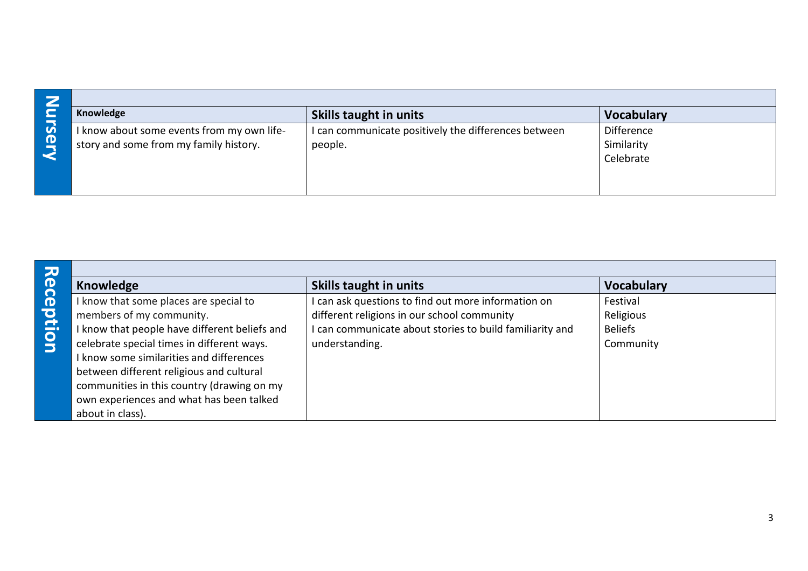| - 7                         | Knowledge                                                                            | <b>Skills taught in units</b>                                 | <b>Vocabulary</b>                     |
|-----------------------------|--------------------------------------------------------------------------------------|---------------------------------------------------------------|---------------------------------------|
| $\boldsymbol{\omega}$<br>O) | I know about some events from my own life-<br>story and some from my family history. | can communicate positively the differences between<br>people. | Difference<br>Similarity<br>Celebrate |

| Knowledge                                                                                                                                                                                                                                                                                                                                           | <b>Skills taught in units</b>                                                                                                                                                  | <b>Vocabulary</b>                                    |
|-----------------------------------------------------------------------------------------------------------------------------------------------------------------------------------------------------------------------------------------------------------------------------------------------------------------------------------------------------|--------------------------------------------------------------------------------------------------------------------------------------------------------------------------------|------------------------------------------------------|
| I know that some places are special to<br>members of my community.<br>I know that people have different beliefs and<br>celebrate special times in different ways.<br>I know some similarities and differences<br>between different religious and cultural<br>communities in this country (drawing on my<br>own experiences and what has been talked | I can ask questions to find out more information on<br>different religions in our school community<br>can communicate about stories to build familiarity and<br>understanding. | Festival<br>Religious<br><b>Beliefs</b><br>Community |
|                                                                                                                                                                                                                                                                                                                                                     | about in class).                                                                                                                                                               |                                                      |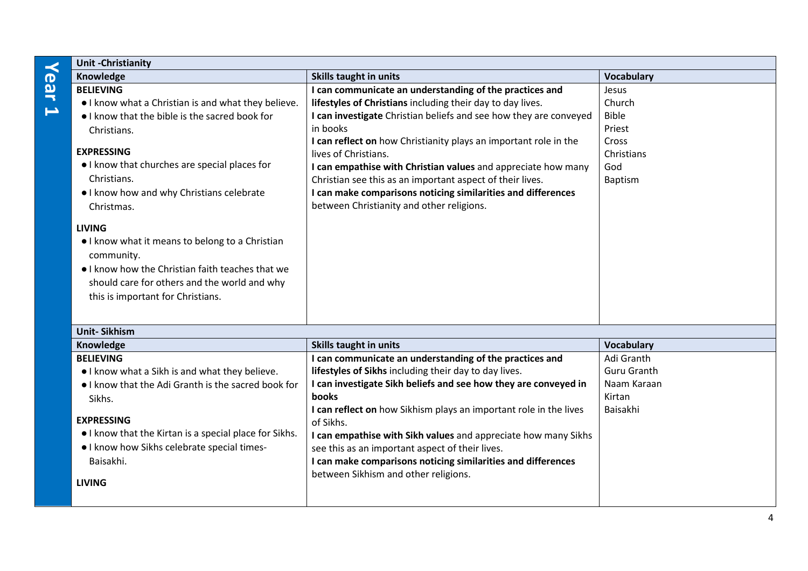## **Year 1**

| <b>Unit-Christianity</b>                                                                                                                                                                                                                                                                                                                                                                                                                                                                                    |                                                                                                                                                                                                                                                                                                                                                                                                                                                                                                                                               |                                                                                    |
|-------------------------------------------------------------------------------------------------------------------------------------------------------------------------------------------------------------------------------------------------------------------------------------------------------------------------------------------------------------------------------------------------------------------------------------------------------------------------------------------------------------|-----------------------------------------------------------------------------------------------------------------------------------------------------------------------------------------------------------------------------------------------------------------------------------------------------------------------------------------------------------------------------------------------------------------------------------------------------------------------------------------------------------------------------------------------|------------------------------------------------------------------------------------|
| Knowledge                                                                                                                                                                                                                                                                                                                                                                                                                                                                                                   | Skills taught in units                                                                                                                                                                                                                                                                                                                                                                                                                                                                                                                        | <b>Vocabulary</b>                                                                  |
| <b>BELIEVING</b><br>. I know what a Christian is and what they believe.<br>I know that the bible is the sacred book for<br>Christians.<br><b>EXPRESSING</b><br>I know that churches are special places for<br>Christians.<br>I know how and why Christians celebrate<br>Christmas.<br><b>LIVING</b><br>I know what it means to belong to a Christian<br>community.<br>• I know how the Christian faith teaches that we<br>should care for others and the world and why<br>this is important for Christians. | I can communicate an understanding of the practices and<br>lifestyles of Christians including their day to day lives.<br>I can investigate Christian beliefs and see how they are conveyed<br>in books<br>I can reflect on how Christianity plays an important role in the<br>lives of Christians.<br>I can empathise with Christian values and appreciate how many<br>Christian see this as an important aspect of their lives.<br>I can make comparisons noticing similarities and differences<br>between Christianity and other religions. | Jesus<br>Church<br><b>Bible</b><br>Priest<br>Cross<br>Christians<br>God<br>Baptism |
| <b>Unit-Sikhism</b>                                                                                                                                                                                                                                                                                                                                                                                                                                                                                         |                                                                                                                                                                                                                                                                                                                                                                                                                                                                                                                                               |                                                                                    |
| Knowledge                                                                                                                                                                                                                                                                                                                                                                                                                                                                                                   | <b>Skills taught in units</b>                                                                                                                                                                                                                                                                                                                                                                                                                                                                                                                 | <b>Vocabulary</b>                                                                  |
| <b>BELIEVING</b><br>. I know what a Sikh is and what they believe.<br>I know that the Adi Granth is the sacred book for<br>Sikhs.<br><b>EXPRESSING</b><br>I know that the Kirtan is a special place for Sikhs.<br>. I know how Sikhs celebrate special times-<br>Baisakhi.<br><b>LIVING</b>                                                                                                                                                                                                                 | I can communicate an understanding of the practices and<br>lifestyles of Sikhs including their day to day lives.<br>I can investigate Sikh beliefs and see how they are conveyed in<br>books<br>I can reflect on how Sikhism plays an important role in the lives<br>of Sikhs.<br>I can empathise with Sikh values and appreciate how many Sikhs<br>see this as an important aspect of their lives.<br>I can make comparisons noticing similarities and differences<br>between Sikhism and other religions.                                   | Adi Granth<br><b>Guru Granth</b><br>Naam Karaan<br>Kirtan<br>Baisakhi              |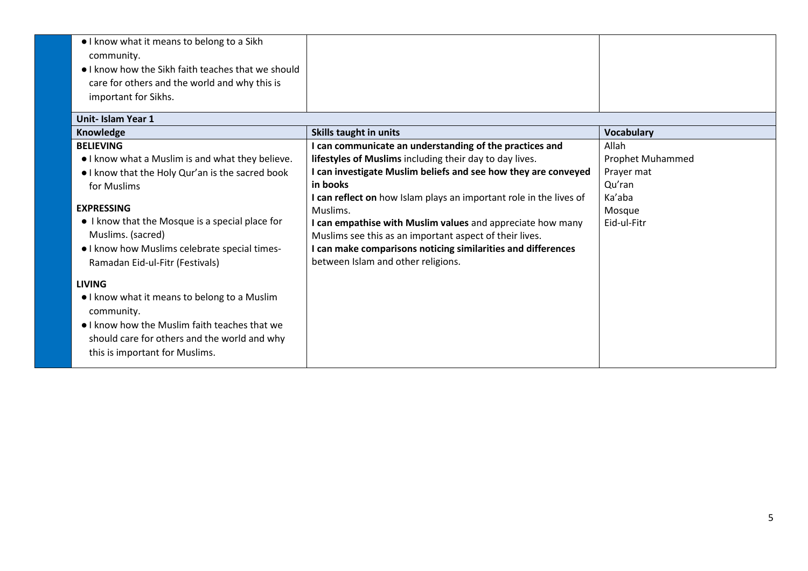| I know what it means to belong to a Sikh<br>community.<br>I know how the Sikh faith teaches that we should<br>care for others and the world and why this is<br>important for Sikhs.<br><b>Unit-Islam Year 1</b>                                                                                                        |                                                                                                                                                                                                                                                                                                                                                                                                                                                                                                                   |                                                                                             |
|------------------------------------------------------------------------------------------------------------------------------------------------------------------------------------------------------------------------------------------------------------------------------------------------------------------------|-------------------------------------------------------------------------------------------------------------------------------------------------------------------------------------------------------------------------------------------------------------------------------------------------------------------------------------------------------------------------------------------------------------------------------------------------------------------------------------------------------------------|---------------------------------------------------------------------------------------------|
| Knowledge                                                                                                                                                                                                                                                                                                              | Skills taught in units                                                                                                                                                                                                                                                                                                                                                                                                                                                                                            | <b>Vocabulary</b>                                                                           |
| <b>BELIEVING</b><br>. I know what a Muslim is and what they believe.<br>I know that the Holy Qur'an is the sacred book<br>for Muslims<br><b>EXPRESSING</b><br>• I know that the Mosque is a special place for<br>Muslims. (sacred)<br>. I know how Muslims celebrate special times-<br>Ramadan Eid-ul-Fitr (Festivals) | I can communicate an understanding of the practices and<br>lifestyles of Muslims including their day to day lives.<br>I can investigate Muslim beliefs and see how they are conveyed<br>in books<br>I can reflect on how Islam plays an important role in the lives of<br>Muslims.<br>I can empathise with Muslim values and appreciate how many<br>Muslims see this as an important aspect of their lives.<br>I can make comparisons noticing similarities and differences<br>between Islam and other religions. | Allah<br><b>Prophet Muhammed</b><br>Prayer mat<br>Qu'ran<br>Ka'aba<br>Mosque<br>Eid-ul-Fitr |
| <b>LIVING</b><br>• I know what it means to belong to a Muslim<br>community.<br>• I know how the Muslim faith teaches that we<br>should care for others and the world and why<br>this is important for Muslims.                                                                                                         |                                                                                                                                                                                                                                                                                                                                                                                                                                                                                                                   |                                                                                             |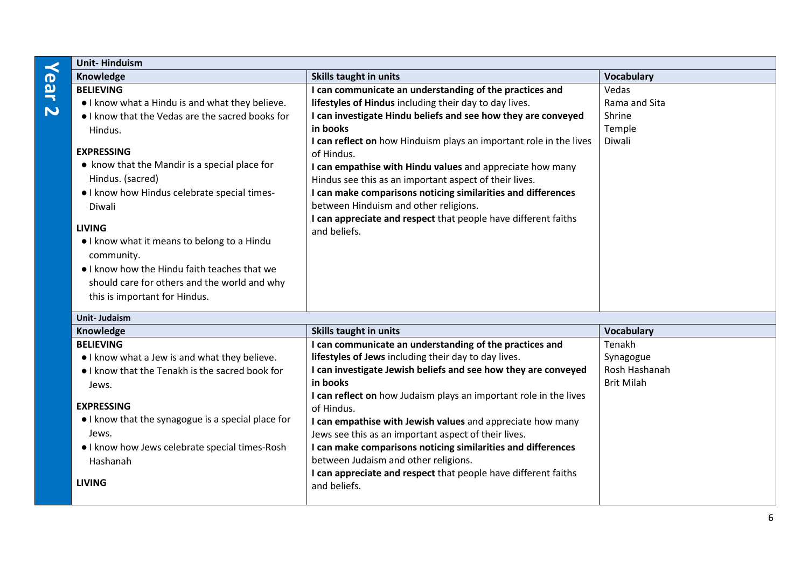### **Year 2**

| <b>Unit-Hinduism</b>                                                                                                                                                                                                                                                                   |                                                                                                                                                                                                                                                                                                                                                                                                                                                                                                                                                                                      |                                                           |
|----------------------------------------------------------------------------------------------------------------------------------------------------------------------------------------------------------------------------------------------------------------------------------------|--------------------------------------------------------------------------------------------------------------------------------------------------------------------------------------------------------------------------------------------------------------------------------------------------------------------------------------------------------------------------------------------------------------------------------------------------------------------------------------------------------------------------------------------------------------------------------------|-----------------------------------------------------------|
| Knowledge                                                                                                                                                                                                                                                                              | Skills taught in units                                                                                                                                                                                                                                                                                                                                                                                                                                                                                                                                                               | <b>Vocabulary</b>                                         |
| <b>BELIEVING</b><br>. I know what a Hindu is and what they believe.<br>• I know that the Vedas are the sacred books for<br>Hindus.<br><b>EXPRESSING</b><br>• know that the Mandir is a special place for<br>Hindus. (sacred)<br>. I know how Hindus celebrate special times-<br>Diwali | I can communicate an understanding of the practices and<br>lifestyles of Hindus including their day to day lives.<br>I can investigate Hindu beliefs and see how they are conveyed<br>in books<br>I can reflect on how Hinduism plays an important role in the lives<br>of Hindus.<br>I can empathise with Hindu values and appreciate how many<br>Hindus see this as an important aspect of their lives.<br>I can make comparisons noticing similarities and differences<br>between Hinduism and other religions.<br>I can appreciate and respect that people have different faiths | Vedas<br>Rama and Sita<br>Shrine<br>Temple<br>Diwali      |
| <b>LIVING</b><br>I know what it means to belong to a Hindu<br>community.<br>• I know how the Hindu faith teaches that we<br>should care for others and the world and why<br>this is important for Hindus.                                                                              | and beliefs.                                                                                                                                                                                                                                                                                                                                                                                                                                                                                                                                                                         |                                                           |
| <b>Unit-Judaism</b>                                                                                                                                                                                                                                                                    |                                                                                                                                                                                                                                                                                                                                                                                                                                                                                                                                                                                      |                                                           |
| Knowledge                                                                                                                                                                                                                                                                              | Skills taught in units                                                                                                                                                                                                                                                                                                                                                                                                                                                                                                                                                               | <b>Vocabulary</b>                                         |
| <b>BELIEVING</b><br>• I know what a Jew is and what they believe.<br>• I know that the Tenakh is the sacred book for                                                                                                                                                                   | I can communicate an understanding of the practices and<br>lifestyles of Jews including their day to day lives.<br>I can investigate Jewish beliefs and see how they are conveyed<br>in books                                                                                                                                                                                                                                                                                                                                                                                        | Tenakh<br>Synagogue<br>Rosh Hashanah<br><b>Brit Milah</b> |
| Jews.                                                                                                                                                                                                                                                                                  |                                                                                                                                                                                                                                                                                                                                                                                                                                                                                                                                                                                      |                                                           |

**I can reflect on** how Judaism plays an important role in the lives

**I can empathise with Jewish values** and appreciate how many

**I can make comparisons noticing similarities and differences** 

**I can appreciate and respect** that people have different faiths

Jews see this as an important aspect of their lives.

between Judaism and other religions.

of Hindus.

and beliefs.

#### **EXPRESSING**

| • I know that the synagogue is a special place for    |
|-------------------------------------------------------|
| Jews.                                                 |
| $\bullet$ Lknow how Jews celebrate special times-Rosh |

● I know how Jews celebrate special times-Rosh Hashanah

**LIVING**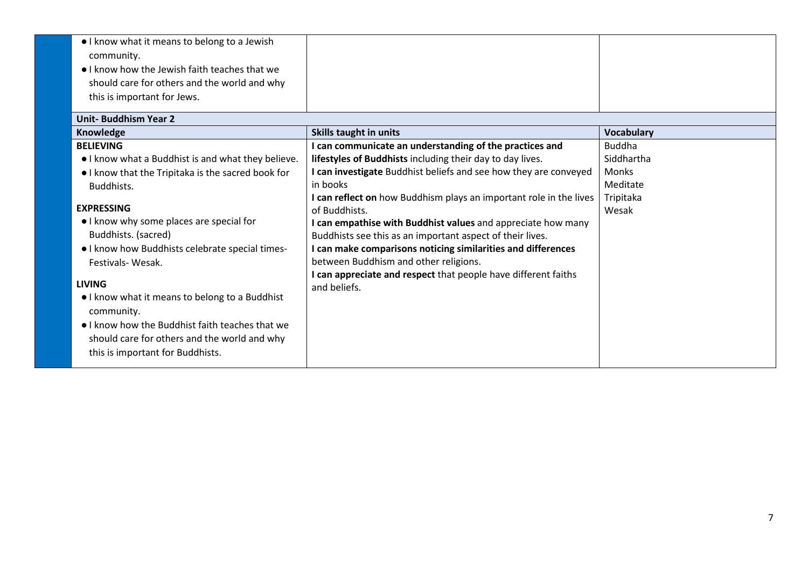| I know what it means to belong to a Jewish<br>community.<br>. I know how the Jewish faith teaches that we<br>should care for others and the world and why<br>this is important for Jews.<br><b>Unit-Buddhism Year 2</b>                                                                                                                                                                                                                                                                                                       |                                                                                                                                                                                                                                                                                                                                                                                                                                                                                                                                                                                                                     |                                                                               |
|-------------------------------------------------------------------------------------------------------------------------------------------------------------------------------------------------------------------------------------------------------------------------------------------------------------------------------------------------------------------------------------------------------------------------------------------------------------------------------------------------------------------------------|---------------------------------------------------------------------------------------------------------------------------------------------------------------------------------------------------------------------------------------------------------------------------------------------------------------------------------------------------------------------------------------------------------------------------------------------------------------------------------------------------------------------------------------------------------------------------------------------------------------------|-------------------------------------------------------------------------------|
| Knowledge                                                                                                                                                                                                                                                                                                                                                                                                                                                                                                                     | <b>Skills taught in units</b>                                                                                                                                                                                                                                                                                                                                                                                                                                                                                                                                                                                       | <b>Vocabulary</b>                                                             |
| <b>BELIEVING</b><br>. I know what a Buddhist is and what they believe.<br>I know that the Tripitaka is the sacred book for<br>Buddhists.<br><b>EXPRESSING</b><br>• I know why some places are special for<br>Buddhists. (sacred)<br>• I know how Buddhists celebrate special times-<br>Festivals-Wesak.<br><b>LIVING</b><br>I know what it means to belong to a Buddhist<br>community.<br>• I know how the Buddhist faith teaches that we<br>should care for others and the world and why<br>this is important for Buddhists. | I can communicate an understanding of the practices and<br>lifestyles of Buddhists including their day to day lives.<br>I can investigate Buddhist beliefs and see how they are conveyed<br>in books<br>I can reflect on how Buddhism plays an important role in the lives<br>of Buddhists.<br>I can empathise with Buddhist values and appreciate how many<br>Buddhists see this as an important aspect of their lives.<br>I can make comparisons noticing similarities and differences<br>between Buddhism and other religions.<br>I can appreciate and respect that people have different faiths<br>and beliefs. | <b>Buddha</b><br>Siddhartha<br><b>Monks</b><br>Meditate<br>Tripitaka<br>Wesak |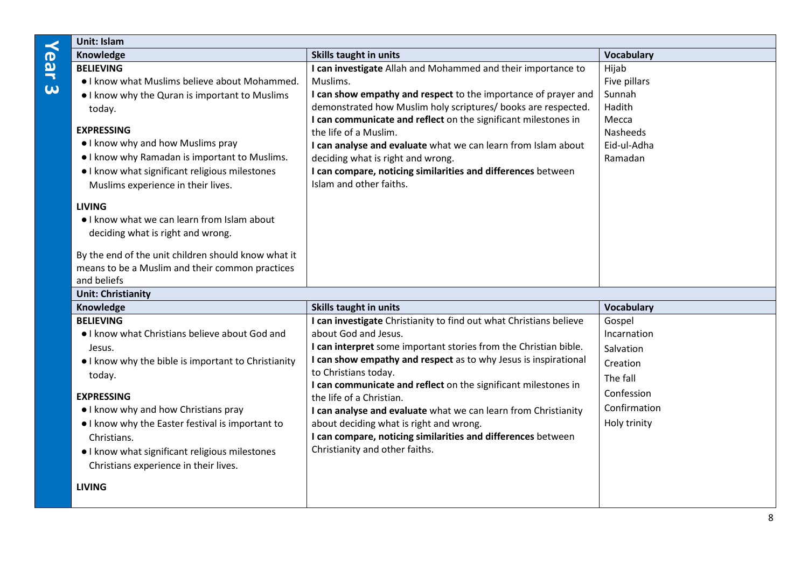**Unit: Islam** 

| Knowledge                                                                                                                                                                                                                                                                                                                                                                               | <b>Skills taught in units</b>                                                                                                                                                                                                                                                                                                                                                                                                                                                                                                                                          | <b>Vocabulary</b>                                                                                        |
|-----------------------------------------------------------------------------------------------------------------------------------------------------------------------------------------------------------------------------------------------------------------------------------------------------------------------------------------------------------------------------------------|------------------------------------------------------------------------------------------------------------------------------------------------------------------------------------------------------------------------------------------------------------------------------------------------------------------------------------------------------------------------------------------------------------------------------------------------------------------------------------------------------------------------------------------------------------------------|----------------------------------------------------------------------------------------------------------|
| <b>BELIEVING</b>                                                                                                                                                                                                                                                                                                                                                                        | I can investigate Allah and Mohammed and their importance to                                                                                                                                                                                                                                                                                                                                                                                                                                                                                                           | Hijab                                                                                                    |
| • I know what Muslims believe about Mohammed.                                                                                                                                                                                                                                                                                                                                           | Muslims.                                                                                                                                                                                                                                                                                                                                                                                                                                                                                                                                                               | Five pillars                                                                                             |
| • I know why the Quran is important to Muslims                                                                                                                                                                                                                                                                                                                                          | I can show empathy and respect to the importance of prayer and                                                                                                                                                                                                                                                                                                                                                                                                                                                                                                         | Sunnah                                                                                                   |
| today.                                                                                                                                                                                                                                                                                                                                                                                  | demonstrated how Muslim holy scriptures/ books are respected.                                                                                                                                                                                                                                                                                                                                                                                                                                                                                                          | Hadith                                                                                                   |
| <b>EXPRESSING</b><br>• I know why and how Muslims pray<br>• I know why Ramadan is important to Muslims.<br>. I know what significant religious milestones<br>Muslims experience in their lives.                                                                                                                                                                                         | I can communicate and reflect on the significant milestones in<br>the life of a Muslim.<br>I can analyse and evaluate what we can learn from Islam about<br>deciding what is right and wrong.<br>I can compare, noticing similarities and differences between<br>Islam and other faiths.                                                                                                                                                                                                                                                                               | Mecca<br>Nasheeds<br>Eid-ul-Adha<br>Ramadan                                                              |
| <b>LIVING</b><br>. I know what we can learn from Islam about<br>deciding what is right and wrong.<br>By the end of the unit children should know what it<br>means to be a Muslim and their common practices<br>and beliefs                                                                                                                                                              |                                                                                                                                                                                                                                                                                                                                                                                                                                                                                                                                                                        |                                                                                                          |
| <b>Unit: Christianity</b>                                                                                                                                                                                                                                                                                                                                                               |                                                                                                                                                                                                                                                                                                                                                                                                                                                                                                                                                                        |                                                                                                          |
| Knowledge                                                                                                                                                                                                                                                                                                                                                                               | <b>Skills taught in units</b>                                                                                                                                                                                                                                                                                                                                                                                                                                                                                                                                          | <b>Vocabulary</b>                                                                                        |
| <b>BELIEVING</b><br>. I know what Christians believe about God and<br>Jesus.<br>• I know why the bible is important to Christianity<br>today.<br><b>EXPRESSING</b><br>• I know why and how Christians pray<br>I know why the Easter festival is important to<br>Christians.<br>. I know what significant religious milestones<br>Christians experience in their lives.<br><b>LIVING</b> | I can investigate Christianity to find out what Christians believe<br>about God and Jesus.<br>I can interpret some important stories from the Christian bible.<br>I can show empathy and respect as to why Jesus is inspirational<br>to Christians today.<br>I can communicate and reflect on the significant milestones in<br>the life of a Christian.<br>I can analyse and evaluate what we can learn from Christianity<br>about deciding what is right and wrong.<br>I can compare, noticing similarities and differences between<br>Christianity and other faiths. | Gospel<br>Incarnation<br>Salvation<br>Creation<br>The fall<br>Confession<br>Confirmation<br>Holy trinity |
|                                                                                                                                                                                                                                                                                                                                                                                         |                                                                                                                                                                                                                                                                                                                                                                                                                                                                                                                                                                        |                                                                                                          |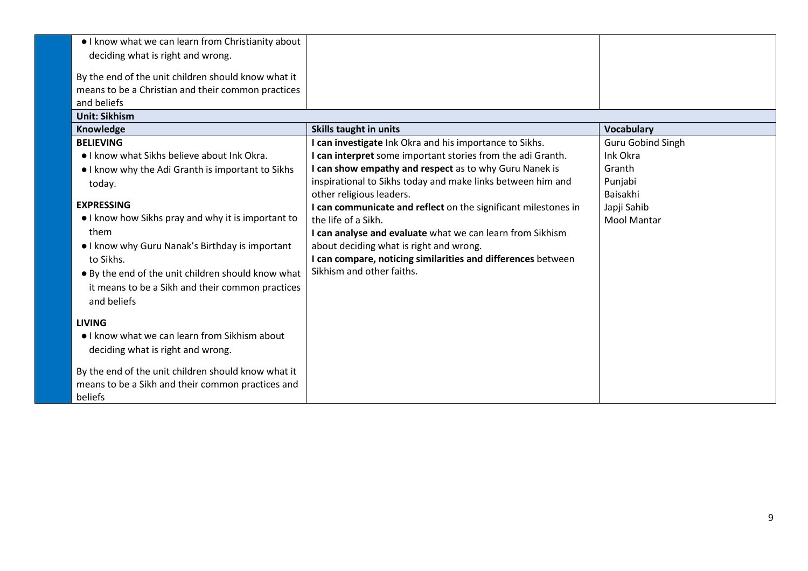| . I know what we can learn from Christianity about  |                                                                |                          |
|-----------------------------------------------------|----------------------------------------------------------------|--------------------------|
| deciding what is right and wrong.                   |                                                                |                          |
| By the end of the unit children should know what it |                                                                |                          |
| means to be a Christian and their common practices  |                                                                |                          |
| and beliefs                                         |                                                                |                          |
| <b>Unit: Sikhism</b>                                |                                                                |                          |
| Knowledge                                           | <b>Skills taught in units</b>                                  | <b>Vocabulary</b>        |
| <b>BELIEVING</b>                                    | I can investigate Ink Okra and his importance to Sikhs.        | <b>Guru Gobind Singh</b> |
| • I know what Sikhs believe about Ink Okra.         | I can interpret some important stories from the adi Granth.    | Ink Okra                 |
| I know why the Adi Granth is important to Sikhs     | I can show empathy and respect as to why Guru Nanek is         | Granth                   |
| today.                                              | inspirational to Sikhs today and make links between him and    | Punjabi                  |
|                                                     | other religious leaders.                                       | Baisakhi                 |
| <b>EXPRESSING</b>                                   | I can communicate and reflect on the significant milestones in | Japji Sahib              |
| I know how Sikhs pray and why it is important to    | the life of a Sikh.                                            | <b>Mool Mantar</b>       |
| them                                                | I can analyse and evaluate what we can learn from Sikhism      |                          |
| . I know why Guru Nanak's Birthday is important     | about deciding what is right and wrong.                        |                          |
| to Sikhs.                                           | I can compare, noticing similarities and differences between   |                          |
| • By the end of the unit children should know what  | Sikhism and other faiths.                                      |                          |
| it means to be a Sikh and their common practices    |                                                                |                          |
| and beliefs                                         |                                                                |                          |
| <b>LIVING</b>                                       |                                                                |                          |
| • I know what we can learn from Sikhism about       |                                                                |                          |
|                                                     |                                                                |                          |
| deciding what is right and wrong.                   |                                                                |                          |
| By the end of the unit children should know what it |                                                                |                          |
| means to be a Sikh and their common practices and   |                                                                |                          |
| beliefs                                             |                                                                |                          |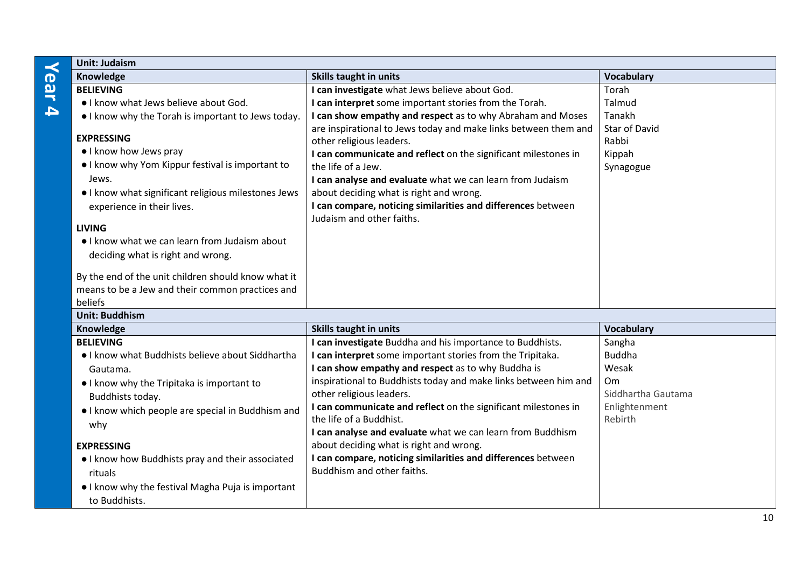# **Year 4**

| <b>Unit: Judaism</b>                                                                                                                                                                                                                                                                                 |                                                                                                                                                                                                                                                                                                                                                                                          |                                                      |
|------------------------------------------------------------------------------------------------------------------------------------------------------------------------------------------------------------------------------------------------------------------------------------------------------|------------------------------------------------------------------------------------------------------------------------------------------------------------------------------------------------------------------------------------------------------------------------------------------------------------------------------------------------------------------------------------------|------------------------------------------------------|
| Knowledge                                                                                                                                                                                                                                                                                            | Skills taught in units                                                                                                                                                                                                                                                                                                                                                                   | Vocabulary                                           |
| <b>BELIEVING</b>                                                                                                                                                                                                                                                                                     | I can investigate what Jews believe about God.                                                                                                                                                                                                                                                                                                                                           | Torah                                                |
| . I know what Jews believe about God.                                                                                                                                                                                                                                                                | I can interpret some important stories from the Torah.                                                                                                                                                                                                                                                                                                                                   | Talmud                                               |
| I know why the Torah is important to Jews today.                                                                                                                                                                                                                                                     | I can show empathy and respect as to why Abraham and Moses                                                                                                                                                                                                                                                                                                                               | Tanakh                                               |
| <b>EXPRESSING</b><br>• I know how Jews pray<br>• I know why Yom Kippur festival is important to<br>Jews.<br>. I know what significant religious milestones Jews<br>experience in their lives.<br><b>LIVING</b><br>• I know what we can learn from Judaism about<br>deciding what is right and wrong. | are inspirational to Jews today and make links between them and<br>other religious leaders.<br>I can communicate and reflect on the significant milestones in<br>the life of a Jew.<br>I can analyse and evaluate what we can learn from Judaism<br>about deciding what is right and wrong.<br>I can compare, noticing similarities and differences between<br>Judaism and other faiths. | <b>Star of David</b><br>Rabbi<br>Kippah<br>Synagogue |
| By the end of the unit children should know what it<br>means to be a Jew and their common practices and<br>beliefs                                                                                                                                                                                   |                                                                                                                                                                                                                                                                                                                                                                                          |                                                      |
| <b>Unit: Buddhism</b>                                                                                                                                                                                                                                                                                |                                                                                                                                                                                                                                                                                                                                                                                          |                                                      |
| Knowledge                                                                                                                                                                                                                                                                                            | <b>Skills taught in units</b>                                                                                                                                                                                                                                                                                                                                                            | Vocabulary                                           |
| <b>BELIEVING</b>                                                                                                                                                                                                                                                                                     | I can investigate Buddha and his importance to Buddhists.                                                                                                                                                                                                                                                                                                                                | Sangha                                               |
| . I know what Buddhists believe about Siddhartha                                                                                                                                                                                                                                                     | I can interpret some important stories from the Tripitaka.                                                                                                                                                                                                                                                                                                                               | <b>Buddha</b>                                        |
| Gautama.                                                                                                                                                                                                                                                                                             | I can show empathy and respect as to why Buddha is                                                                                                                                                                                                                                                                                                                                       | Wesak                                                |
| • I know why the Tripitaka is important to                                                                                                                                                                                                                                                           | inspirational to Buddhists today and make links between him and                                                                                                                                                                                                                                                                                                                          | Om                                                   |
| Buddhists today.                                                                                                                                                                                                                                                                                     | other religious leaders.                                                                                                                                                                                                                                                                                                                                                                 | Siddhartha Gautama                                   |
| . I know which people are special in Buddhism and                                                                                                                                                                                                                                                    | I can communicate and reflect on the significant milestones in<br>the life of a Buddhist.                                                                                                                                                                                                                                                                                                | Enlightenment<br>Rebirth                             |
| why                                                                                                                                                                                                                                                                                                  | I can analyse and evaluate what we can learn from Buddhism                                                                                                                                                                                                                                                                                                                               |                                                      |
| <b>EXPRESSING</b>                                                                                                                                                                                                                                                                                    | about deciding what is right and wrong.                                                                                                                                                                                                                                                                                                                                                  |                                                      |
|                                                                                                                                                                                                                                                                                                      | I can compare, noticing similarities and differences between                                                                                                                                                                                                                                                                                                                             |                                                      |
| . I know how Buddhists pray and their associated                                                                                                                                                                                                                                                     | Buddhism and other faiths.                                                                                                                                                                                                                                                                                                                                                               |                                                      |
| rituals                                                                                                                                                                                                                                                                                              |                                                                                                                                                                                                                                                                                                                                                                                          |                                                      |
| • I know why the festival Magha Puja is important                                                                                                                                                                                                                                                    |                                                                                                                                                                                                                                                                                                                                                                                          |                                                      |
| to Buddhists.                                                                                                                                                                                                                                                                                        |                                                                                                                                                                                                                                                                                                                                                                                          |                                                      |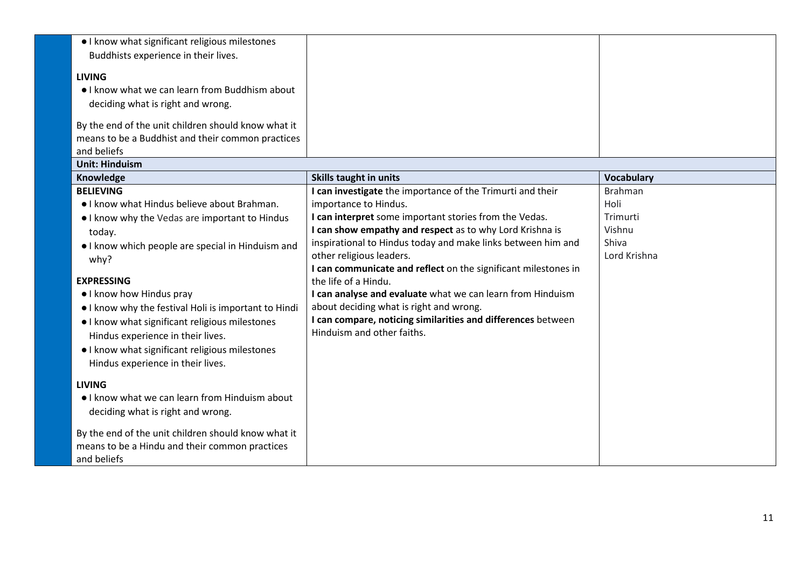| · I know what significant religious milestones<br>Buddhists experience in their lives.<br><b>LIVING</b><br>• I know what we can learn from Buddhism about<br>deciding what is right and wrong.<br>By the end of the unit children should know what it<br>means to be a Buddhist and their common practices<br>and beliefs                                                                                                                                                       |                                                                                                                                                                                                                                                                                                                                                                                                                                                                                                                                                                                                        |                                                                       |
|---------------------------------------------------------------------------------------------------------------------------------------------------------------------------------------------------------------------------------------------------------------------------------------------------------------------------------------------------------------------------------------------------------------------------------------------------------------------------------|--------------------------------------------------------------------------------------------------------------------------------------------------------------------------------------------------------------------------------------------------------------------------------------------------------------------------------------------------------------------------------------------------------------------------------------------------------------------------------------------------------------------------------------------------------------------------------------------------------|-----------------------------------------------------------------------|
| <b>Unit: Hinduism</b>                                                                                                                                                                                                                                                                                                                                                                                                                                                           |                                                                                                                                                                                                                                                                                                                                                                                                                                                                                                                                                                                                        |                                                                       |
| Knowledge                                                                                                                                                                                                                                                                                                                                                                                                                                                                       | <b>Skills taught in units</b>                                                                                                                                                                                                                                                                                                                                                                                                                                                                                                                                                                          | <b>Vocabulary</b>                                                     |
| <b>BELIEVING</b><br>. I know what Hindus believe about Brahman.<br>• I know why the Vedas are important to Hindus<br>today.<br>• I know which people are special in Hinduism and<br>why?<br><b>EXPRESSING</b><br>. I know how Hindus pray<br>. I know why the festival Holi is important to Hindi<br>• I know what significant religious milestones<br>Hindus experience in their lives.<br>• I know what significant religious milestones<br>Hindus experience in their lives. | I can investigate the importance of the Trimurti and their<br>importance to Hindus.<br>I can interpret some important stories from the Vedas.<br>I can show empathy and respect as to why Lord Krishna is<br>inspirational to Hindus today and make links between him and<br>other religious leaders.<br>I can communicate and reflect on the significant milestones in<br>the life of a Hindu.<br>I can analyse and evaluate what we can learn from Hinduism<br>about deciding what is right and wrong.<br>I can compare, noticing similarities and differences between<br>Hinduism and other faiths. | <b>Brahman</b><br>Holi<br>Trimurti<br>Vishnu<br>Shiva<br>Lord Krishna |
| <b>LIVING</b><br>. I know what we can learn from Hinduism about<br>deciding what is right and wrong.                                                                                                                                                                                                                                                                                                                                                                            |                                                                                                                                                                                                                                                                                                                                                                                                                                                                                                                                                                                                        |                                                                       |
| By the end of the unit children should know what it<br>means to be a Hindu and their common practices<br>and beliefs                                                                                                                                                                                                                                                                                                                                                            |                                                                                                                                                                                                                                                                                                                                                                                                                                                                                                                                                                                                        |                                                                       |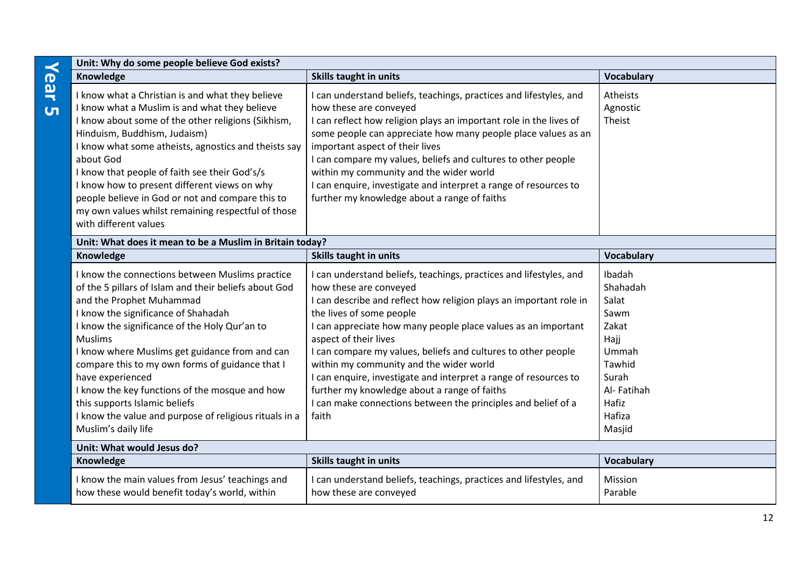| Unit: Why do some people believe God exists?                                                                                                                                                                                                                                                                                                                                                                                                                                                                                                |                                                                                                                                                                                                                                                                                                                                                                                                                                                                                                                                                                                                    |                                                                                                                             |
|---------------------------------------------------------------------------------------------------------------------------------------------------------------------------------------------------------------------------------------------------------------------------------------------------------------------------------------------------------------------------------------------------------------------------------------------------------------------------------------------------------------------------------------------|----------------------------------------------------------------------------------------------------------------------------------------------------------------------------------------------------------------------------------------------------------------------------------------------------------------------------------------------------------------------------------------------------------------------------------------------------------------------------------------------------------------------------------------------------------------------------------------------------|-----------------------------------------------------------------------------------------------------------------------------|
| Knowledge                                                                                                                                                                                                                                                                                                                                                                                                                                                                                                                                   | <b>Skills taught in units</b>                                                                                                                                                                                                                                                                                                                                                                                                                                                                                                                                                                      | <b>Vocabulary</b>                                                                                                           |
| I know what a Christian is and what they believe<br>I know what a Muslim is and what they believe<br>I know about some of the other religions (Sikhism,<br>Hinduism, Buddhism, Judaism)<br>I know what some atheists, agnostics and theists say<br>about God<br>I know that people of faith see their God's/s<br>I know how to present different views on why<br>people believe in God or not and compare this to<br>my own values whilst remaining respectful of those<br>with different values                                            | I can understand beliefs, teachings, practices and lifestyles, and<br>how these are conveyed<br>I can reflect how religion plays an important role in the lives of<br>some people can appreciate how many people place values as an<br>important aspect of their lives<br>I can compare my values, beliefs and cultures to other people<br>within my community and the wider world<br>I can enquire, investigate and interpret a range of resources to<br>further my knowledge about a range of faiths                                                                                             | Atheists<br>Agnostic<br>Theist                                                                                              |
| Unit: What does it mean to be a Muslim in Britain today?                                                                                                                                                                                                                                                                                                                                                                                                                                                                                    |                                                                                                                                                                                                                                                                                                                                                                                                                                                                                                                                                                                                    |                                                                                                                             |
| Knowledge                                                                                                                                                                                                                                                                                                                                                                                                                                                                                                                                   | Skills taught in units                                                                                                                                                                                                                                                                                                                                                                                                                                                                                                                                                                             | <b>Vocabulary</b>                                                                                                           |
| I know the connections between Muslims practice<br>of the 5 pillars of Islam and their beliefs about God<br>and the Prophet Muhammad<br>I know the significance of Shahadah<br>I know the significance of the Holy Qur'an to<br><b>Muslims</b><br>I know where Muslims get guidance from and can<br>compare this to my own forms of guidance that I<br>have experienced<br>I know the key functions of the mosque and how<br>this supports Islamic beliefs<br>I know the value and purpose of religious rituals in a<br>Muslim's daily life | I can understand beliefs, teachings, practices and lifestyles, and<br>how these are conveyed<br>I can describe and reflect how religion plays an important role in<br>the lives of some people<br>I can appreciate how many people place values as an important<br>aspect of their lives<br>I can compare my values, beliefs and cultures to other people<br>within my community and the wider world<br>I can enquire, investigate and interpret a range of resources to<br>further my knowledge about a range of faiths<br>I can make connections between the principles and belief of a<br>faith | Ibadah<br>Shahadah<br>Salat<br>Sawm<br>Zakat<br>Hajj<br>Ummah<br>Tawhid<br>Surah<br>Al-Fatihah<br>Hafiz<br>Hafiza<br>Masjid |
| Unit: What would Jesus do?                                                                                                                                                                                                                                                                                                                                                                                                                                                                                                                  |                                                                                                                                                                                                                                                                                                                                                                                                                                                                                                                                                                                                    |                                                                                                                             |
| Knowledge                                                                                                                                                                                                                                                                                                                                                                                                                                                                                                                                   | <b>Skills taught in units</b>                                                                                                                                                                                                                                                                                                                                                                                                                                                                                                                                                                      | <b>Vocabulary</b>                                                                                                           |
| I know the main values from Jesus' teachings and<br>how these would benefit today's world, within                                                                                                                                                                                                                                                                                                                                                                                                                                           | I can understand beliefs, teachings, practices and lifestyles, and<br>how these are conveyed                                                                                                                                                                                                                                                                                                                                                                                                                                                                                                       | Mission<br>Parable                                                                                                          |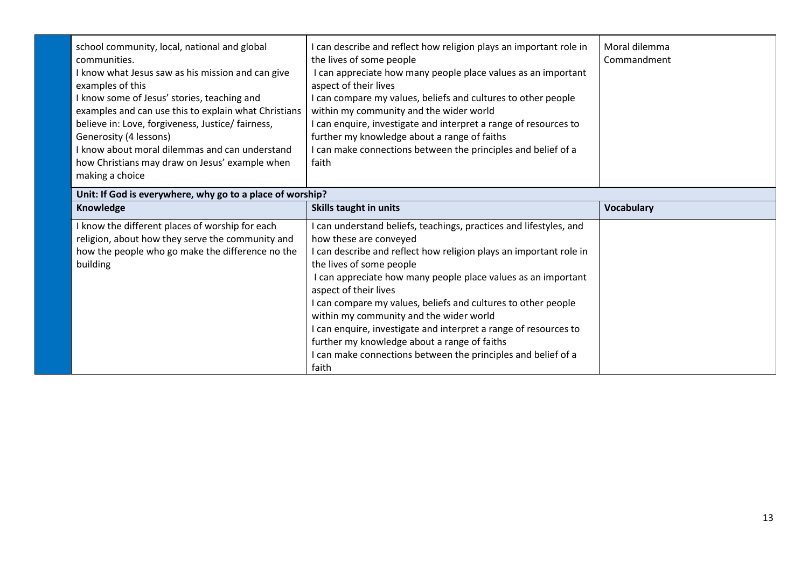| school community, local, national and global<br>communities.<br>I know what Jesus saw as his mission and can give<br>examples of this<br>I know some of Jesus' stories, teaching and<br>examples and can use this to explain what Christians<br>believe in: Love, forgiveness, Justice/ fairness,<br>Generosity (4 lessons)<br>I know about moral dilemmas and can understand<br>how Christians may draw on Jesus' example when<br>making a choice | I can describe and reflect how religion plays an important role in<br>the lives of some people<br>I can appreciate how many people place values as an important<br>aspect of their lives<br>I can compare my values, beliefs and cultures to other people<br>within my community and the wider world<br>I can enquire, investigate and interpret a range of resources to<br>further my knowledge about a range of faiths<br>I can make connections between the principles and belief of a<br>faith                                                                                                 | Moral dilemma<br>Commandment |  |
|----------------------------------------------------------------------------------------------------------------------------------------------------------------------------------------------------------------------------------------------------------------------------------------------------------------------------------------------------------------------------------------------------------------------------------------------------|----------------------------------------------------------------------------------------------------------------------------------------------------------------------------------------------------------------------------------------------------------------------------------------------------------------------------------------------------------------------------------------------------------------------------------------------------------------------------------------------------------------------------------------------------------------------------------------------------|------------------------------|--|
| Unit: If God is everywhere, why go to a place of worship?                                                                                                                                                                                                                                                                                                                                                                                          |                                                                                                                                                                                                                                                                                                                                                                                                                                                                                                                                                                                                    |                              |  |
| Knowledge                                                                                                                                                                                                                                                                                                                                                                                                                                          | <b>Skills taught in units</b>                                                                                                                                                                                                                                                                                                                                                                                                                                                                                                                                                                      | <b>Vocabulary</b>            |  |
| I know the different places of worship for each<br>religion, about how they serve the community and<br>how the people who go make the difference no the<br>building                                                                                                                                                                                                                                                                                | I can understand beliefs, teachings, practices and lifestyles, and<br>how these are conveyed<br>I can describe and reflect how religion plays an important role in<br>the lives of some people<br>I can appreciate how many people place values as an important<br>aspect of their lives<br>I can compare my values, beliefs and cultures to other people<br>within my community and the wider world<br>I can enquire, investigate and interpret a range of resources to<br>further my knowledge about a range of faiths<br>I can make connections between the principles and belief of a<br>faith |                              |  |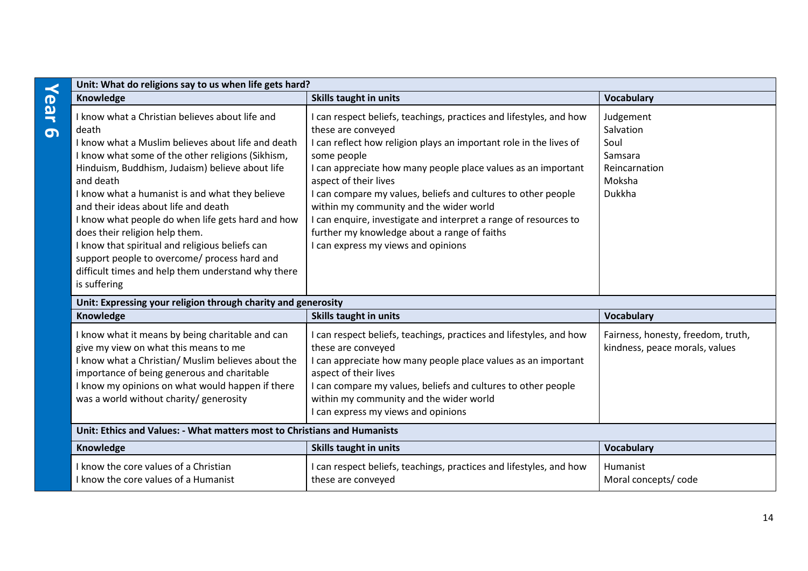| $\prec$         | Unit: What do religions say to us when life gets hard?                                                                                                                                                                                                                                                                                                                                                                                                                                                                                                                                         |                                                                                                                                                                                                                                                                                                                                                                                                                                                                                                                                             |                                                                                |
|-----------------|------------------------------------------------------------------------------------------------------------------------------------------------------------------------------------------------------------------------------------------------------------------------------------------------------------------------------------------------------------------------------------------------------------------------------------------------------------------------------------------------------------------------------------------------------------------------------------------------|---------------------------------------------------------------------------------------------------------------------------------------------------------------------------------------------------------------------------------------------------------------------------------------------------------------------------------------------------------------------------------------------------------------------------------------------------------------------------------------------------------------------------------------------|--------------------------------------------------------------------------------|
|                 | Knowledge                                                                                                                                                                                                                                                                                                                                                                                                                                                                                                                                                                                      | Skills taught in units                                                                                                                                                                                                                                                                                                                                                                                                                                                                                                                      | <b>Vocabulary</b>                                                              |
| ear<br>$\sigma$ | I know what a Christian believes about life and<br>death<br>I know what a Muslim believes about life and death<br>I know what some of the other religions (Sikhism,<br>Hinduism, Buddhism, Judaism) believe about life<br>and death<br>I know what a humanist is and what they believe<br>and their ideas about life and death<br>I know what people do when life gets hard and how<br>does their religion help them.<br>I know that spiritual and religious beliefs can<br>support people to overcome/ process hard and<br>difficult times and help them understand why there<br>is suffering | can respect beliefs, teachings, practices and lifestyles, and how<br>these are conveyed<br>I can reflect how religion plays an important role in the lives of<br>some people<br>I can appreciate how many people place values as an important<br>aspect of their lives<br>I can compare my values, beliefs and cultures to other people<br>within my community and the wider world<br>I can enquire, investigate and interpret a range of resources to<br>further my knowledge about a range of faiths<br>can express my views and opinions | Judgement<br>Salvation<br>Soul<br>Samsara<br>Reincarnation<br>Moksha<br>Dukkha |
|                 | Unit: Expressing your religion through charity and generosity                                                                                                                                                                                                                                                                                                                                                                                                                                                                                                                                  |                                                                                                                                                                                                                                                                                                                                                                                                                                                                                                                                             |                                                                                |
|                 | Knowledge                                                                                                                                                                                                                                                                                                                                                                                                                                                                                                                                                                                      | <b>Skills taught in units</b>                                                                                                                                                                                                                                                                                                                                                                                                                                                                                                               | <b>Vocabulary</b>                                                              |
|                 | I know what it means by being charitable and can<br>give my view on what this means to me<br>I know what a Christian/ Muslim believes about the<br>importance of being generous and charitable<br>I know my opinions on what would happen if there<br>was a world without charity/ generosity                                                                                                                                                                                                                                                                                                  | can respect beliefs, teachings, practices and lifestyles, and how<br>these are conveyed<br>I can appreciate how many people place values as an important<br>aspect of their lives<br>I can compare my values, beliefs and cultures to other people<br>within my community and the wider world<br>can express my views and opinions                                                                                                                                                                                                          | Fairness, honesty, freedom, truth,<br>kindness, peace morals, values           |
|                 | Unit: Ethics and Values: - What matters most to Christians and Humanists                                                                                                                                                                                                                                                                                                                                                                                                                                                                                                                       |                                                                                                                                                                                                                                                                                                                                                                                                                                                                                                                                             |                                                                                |
|                 | Knowledge                                                                                                                                                                                                                                                                                                                                                                                                                                                                                                                                                                                      | <b>Skills taught in units</b>                                                                                                                                                                                                                                                                                                                                                                                                                                                                                                               | <b>Vocabulary</b>                                                              |
|                 | I know the core values of a Christian<br>I know the core values of a Humanist                                                                                                                                                                                                                                                                                                                                                                                                                                                                                                                  | can respect beliefs, teachings, practices and lifestyles, and how<br>these are conveyed                                                                                                                                                                                                                                                                                                                                                                                                                                                     | Humanist<br>Moral concepts/ code                                               |